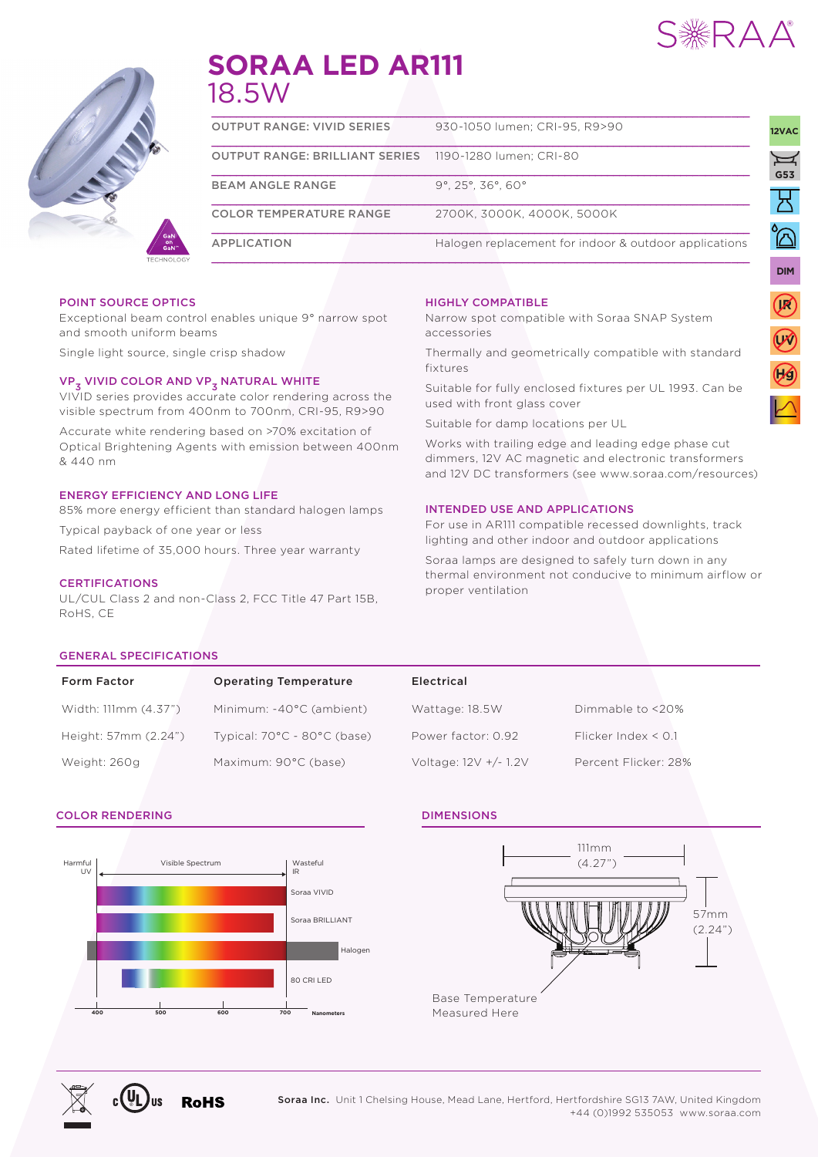

UNIVERSAL

**DIM**

**IR**

**UV**

**230V**

AC

UNIVERSAL



# **SORAA LED AR111** 18.5W

| <b>OUTPUT RANGE: VIVID SERIES</b>                             | 930-1050 lumen: CRI-95, R9>90                               |  |  |  |  |
|---------------------------------------------------------------|-------------------------------------------------------------|--|--|--|--|
| <b>OUTPUT RANGE: BRILLIANT SERIES</b> 1190-1280 lumen; CRI-80 |                                                             |  |  |  |  |
| <b>BEAM ANGLE RANGE</b>                                       | $9^{\circ}$ , 25 $^{\circ}$ , 36 $^{\circ}$ , 60 $^{\circ}$ |  |  |  |  |
| <b>COLOR TEMPERATURE RANGE</b>                                | 2700K. 3000K. 4000K. 5000K                                  |  |  |  |  |
| <b>APPLICATION</b>                                            | Halogen replacement for indoor & outdoor applications       |  |  |  |  |

#### POINT SOURCE OPTICS

Exceptional beam control enables unique 9° narrow spot and smooth uniform beams

Single light source, single crisp shadow

### VP<sub>3</sub> VIVID COLOR AND VP<sub>3</sub> NATURAL WHITE

VIVID series provides accurate color rendering across the visible spectrum from 400nm to 700nm, CRI-95, R9>90

Accurate white rendering based on >70% excitation of Optical Brightening Agents with emission between 400nm & 440 nm

#### ENERGY EFFICIENCY AND LONG LIFE

85% more energy efficient than standard halogen lamps

Typical payback of one year or less

Rated lifetime of 35,000 hours. Three year warranty

#### **CERTIFICATIONS**

UL/CUL Class 2 and non-Class 2, FCC Title 47 Part 15B, RoHS, CE

#### HIGHLY COMPATIBLE

Narrow spot compatible with Soraa SNAP System accessories

Thermally and geometrically compatible with standard fixtures

Suitable for fully enclosed fixtures per UL 1993. Can be used with front glass cover

Suitable for damp locations per UL

Works with trailing edge and leading edge phase cut dimmers, 12V AC magnetic and electronic transformers and 12V DC transformers (see www.soraa.com/resources)

#### INTENDED USE AND APPLICATIONS

For use in AR111 compatible recessed downlights, track lighting and other indoor and outdoor applications

Soraa lamps are designed to safely turn down in any thermal environment not conducive to minimum airflow or proper ventilation

#### GENERAL SPECIFICATIONS

| <b>Form Factor</b>   | <b>Operating Temperature</b>                    | Electrical            |                          |
|----------------------|-------------------------------------------------|-----------------------|--------------------------|
| Width: 111mm (4.37") | Minimum: -40°C (ambient)                        | Wattage: 18.5W        | Dimmable to <20%         |
| Height: 57mm (2.24") | Typical: $70^{\circ}$ C - $80^{\circ}$ C (base) | Power factor: 0.92    | Flicker Index $\leq$ 0.1 |
| Weight: 260g         | Maximum: 90°C (base)                            | Voltage: 12V +/- 1.2V | Percent Flicker: 28%     |

#### COLOR RENDERING DIMENSIONS



**RoHS**